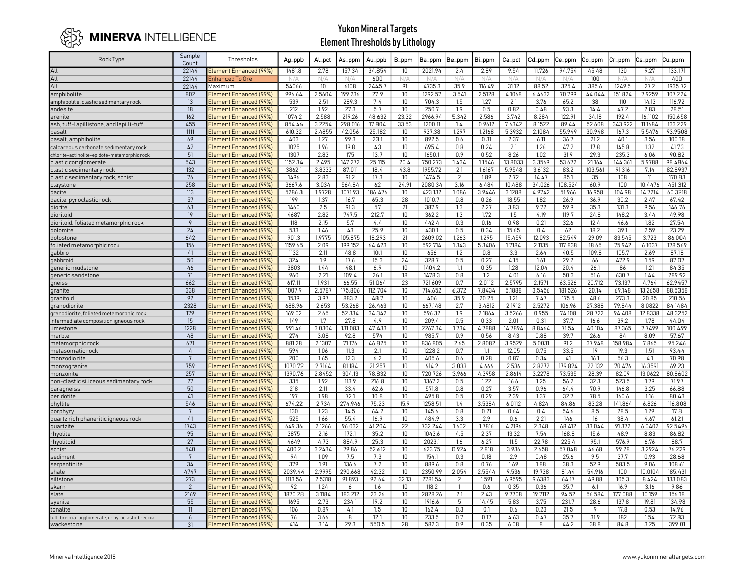

| Rock Type                                        | Sample<br>Count | Thresholds                                       | Ag_ppb        | <b>ALpct</b>     | As_ppm            | Au_ppb          | <b>B_ppm</b>             | Ba_ppm            | Be_ppm         | <b>Bi_ppm</b>   | Ca_pct           | Cd_ppm           | Ce_ppm         | Co_ppm          | Cr_ppm        | Cs_ppm        | u_ppm              |
|--------------------------------------------------|-----------------|--------------------------------------------------|---------------|------------------|-------------------|-----------------|--------------------------|-------------------|----------------|-----------------|------------------|------------------|----------------|-----------------|---------------|---------------|--------------------|
| All                                              | 22144           | Element Enhanced (99%)                           | 1481.8        | 2.78             | 157.34            | 34.854          | 10 <sup>10</sup>         | 2021.94           | 2.4            | 2.89            | 9.54             | 11.726           | 94.754         | 45.48           | 130           | 9.27          | 133.171            |
| All                                              | 22144           | <b>Enhanced To Ore</b>                           | N/A           |                  |                   | 600             |                          | N/4               | N/A            |                 |                  |                  | N/2            | 100             | N/k           | N/A           | 400                |
| All                                              | 22144           | Maximum                                          | 54066         | 10               | 6108              | 2445.7          | 91                       | 4735.3            | 35.9           | 116.49          | 31.12            | 88.52            | 325.4          | 385.6           | 1249.5        | 27.2          | 1935.72            |
| amphibolite                                      | 802             | Element Enhanced (99%)                           | 996.64        | 2.5604           | 199.236           | 27.9            | 10 <sup>10</sup>         | 1292.57           | 3.541          | 2.5128          | 4.1068           | 6.4632           | 70.799         | 44.044          | 151.824       | 7.9259        | 107.224            |
| amphibolite, clastic sedimentary rock            | 13              | Element Enhanced (99%)                           | 539           | 2.51             | 289.3             | 7.4             | 10 <sup>°</sup>          | 704.3             | 1.5            | 1.27            | 2.1              | 3.76             | 65.2           | 38              | 110           | 14.13         | 116.72             |
| andesite                                         | $\overline{18}$ | Element Enhanced (99%)                           | 212           | 1.92             | 27.3              | 5.7             | 10 <sup>°</sup>          | 250.7             | 1.9            | 0.5             | 0.82             | 0.48             | 93.3           | 14.4            | 47.2          | 2.83          | 28.51              |
| arenite                                          | 162             | Element Enhanced (99%)                           | 1074.2        | 2.588            | 219.26            | 48.632          | 23.32                    | 2966.94           | 5.342          | 2.586           | 3.742            | 8.284            | 122.91         | 34.18           | 192.4         | 16.1102       | 150.658            |
| ash, tuff-lapillistone, and lapilli-tuff         | 455             | Element Enhanced (99%)                           | 854.46        | 3.2254           | 298.016           | 17.804          | 33.53                    | 1200.11           | 1.4            | 0.9612          | 7.6342           | 8.1522           | 89.44          | 52.608          | 343.922       | 11.1684       | 133.229            |
| basalt                                           | 1111            | Element Enhanced (99%)                           | 610.32        | 2.4855           | 42.056            | 25.182          | 10 <sup>°</sup>          | 937.38            | 1.297          | 1.2168          | 5.3932           | 2.1084           | 55.949         | 30.948          | 167.3         | 5.5476        | 93.9508            |
| pasalt, amphibolite                              | 69              | Element Enhanced (99%)                           | 403           | 1.27             | 99.3              | 23.1            | 10                       | 892.5             | 0.6            | 0.31            | 2.37             | 6.11             | 36.7           | 21.2            | 40.1          | 3.56          | 100.18             |
| calcareous carbonate sedimentary rock            | 42              | Element Enhanced (99%)                           | 1025          | 1.96             | 19.8              | 43              | 10 <sup>°</sup>          | 695.4             | 0.8            | 0.24            | 2.1              | 1.26             | 47.2           | 17.8            | 145.8         | 1.32          | 41.73              |
| chlorite-actinolite-epidote-metamorphic rock     | 51              | Element Enhanced (99%)                           | 1307          | 2.83             | 175               | 13.7            | 10                       | 1650.1            | 0.9            | 0.52            | 8.26             | 1.02             | 31.9           | 29.3            | 235.3         | 6.06          | 90.82              |
| clastic conglomerate                             | 543             | Element Enhanced (99%)                           | 1152.34       | 2.495            | 147.272           | 25.115          | 20.4                     | 750.273           | 1.434          | 1.1546          | 13.8033          | 3.3569           | 53.672         | 21.164          | 144.361       | 5.9788        | 98.4864            |
| clastic sedimentary rock                         | 132             | Element Enhanced (99%)                           | 3862.1        | 3.8333           | 87.011            | 18.4            | 43.8                     | 1955.72           | 2.1            | 1.6167          | 5.9548           | 3.6132           | 83.2           | 103.561         | 91.316        | 7.14          | 82.8937            |
| clastic sedimentary rock, schist                 | 76<br>258       | Element Enhanced (99%)                           | 1496          | 2.83             | 91.2              | 17.3            | 10 <sup>°</sup>          | 1474.5            | $\overline{2}$ | 1.89            | 2.72             | 14.47            | 85.1           | 35              | 108           | 11<br>10.4476 | 170.83             |
| claystone                                        | 113             | Element Enhanced (99%)                           | 3667.6        | 3.034<br>1.9728  | 564.84<br>1071.93 | 62              | 24.91<br>10 <sup>°</sup> | 2080.34           | 3.16<br>1.086  | 6.484<br>3.9446 | 10.488<br>3.1288 | 34.026<br>4.9742 | 08.524         | 60.9<br>16.958  | 100<br>104.98 | 14.7214       | 451.312<br>60.3218 |
| dacite                                           | 57              | Element Enhanced (99%)<br>Element Enhanced (99%) | 5286.3<br>199 | 1.37             | 16.7              | 186.476<br>65.3 | 28                       | 423.132<br>1010.7 | 0.8            | 0.26            | 18.55            | 1.82             | 51.966<br>26.9 | 36.9            | 30.2          | 2.47          | 67.42              |
| dacite, pyroclastic rock<br>diorite              | 63              | Element Enhanced (99%)                           | 1460          | 2.5              | 91.3              | 57              | 21                       | 387.9             | 1.3            | 2.27            | 3.83             | 9.72             | 59.9           | 35.3            | 131.3         | 9.56          | 146.76             |
| dioritoid                                        | 19              | Element Enhanced (99%)                           | 4687          | 2.82             | 747.5             | 212.7           | 10                       | 362.2             | 1.3            | 1.72            | 1.5              | 4.19             | 119.7          | 24.8            | 148.2         | 3.44          | 49.98              |
| dioritoid, foliated metamorphic rock             | $\overline{9}$  | Element Enhanced (99%)                           | 118           | 2.15             | 5.7               | 4.4             | 10 <sup>°</sup>          | 442.4             | 0.3            | 0.16            | 0.98             | 0.21             | 32.6           | 12.4            | 46.6          | 1.82          | 27.54              |
| dolomite                                         | 24              | Element Enhanced (99%)                           | 533           | 1.46             | 43                | 25.9            | 10 <sup>°</sup>          | 430.1             | 0.5            | 0.34            | 15.65            | 0.4              | 62             | 18.2            | 39.1          | 2.59          | 23.29              |
| dolostone                                        | 642             | Element Enhanced (99%)                           | 901.3         | 1.9775           | 105.875           | 18.293          | 21                       | 2609.02           | 1.263          | 1.295           | 15.459           | 12.093           | 82.549         | 29.09           | 83.545        | 3.723         | 86.004             |
| foliated metamorphic rock                        | 156             | Element Enhanced (99%)                           | 1159.65       | 2.09             | 199.152           | 64.423          | 10                       | 592.714           | 1.343          | 5.3406          | 1.7184           | 2.1135           | 117.838        | 18.65           | 75.942        | 6.1037        | 178.569            |
| qabbro                                           | 41              | Element Enhanced (99%)                           | 1132          | 2.11             | 48.8              | 10.1            | 10 <sup>°</sup>          | 656               | 1.2            | 0.8             | 3.3              | 2.64             | 40.5           | 109.8           | 105.7         | 2.69          | 87.18              |
| gabbroid                                         | 50              | Element Enhanced (99%)                           | 324           | 1.9              | 17.6              | 15.3            | 24                       | 328.7             | 0.5            | 0.27            | 4.15             | 1.61             | 29.2           | 66              | 472.9         | 1.59          | 87.07              |
| generic mudstone                                 | 46              | Element Enhanced (99%)                           | 3803          | 1.44             | 48.1              | 6.9             | 10 <sup>°</sup>          | 1404.2            | 1.1            | 0.35            | 1.28             | 12.04            | 20.4           | 26.1            | 86            | 1.21          | 84.35              |
| generic sandstone                                | 71              | Element Enhanced (99%)                           | 960           | 2.21             | 109.4             | 26.1            | 18                       | 1478.3            | 0.8            | 1.2             | 4.01             | 6.16             | 50.3           | 51.6            | 630.7         | 1.44          | 289.92             |
| gneiss                                           | 662             | Element Enhanced (99%)                           | 617.11        | 1.931            | 66.55             | 51.064          | 23                       | 721.609           | 0.7            | 2.0112          | 2.5795           | 2.1571           | 63.526         | 20.712          | 73.137        | 4.764         | 62.9457            |
| granite                                          | 338             | Element Enhanced (99%)                           | 1007.9        | 2.5787           | 175.806           | 112.704         | 10 <sup>10</sup>         | 714.652           | 6.372          | 7.8434          | 5.1888           | 3.5456           | 181.526        | 20.14           | 69.148        | 13.2658       | 88.5358            |
| granitoid                                        | 92              | Element Enhanced (99%)                           | 1539          | 3.97             | 883.2             | 48.7            | 10                       | 406               | 35.9           | 20.25           | 1.21             | 7.47             | 175.5          | 48.6            | 273.3         | 20.85         | 210.56             |
| granodiorite                                     | 2328            | Element Enhanced (99%)                           | 688.96        | 2.653            | 53.268            | 26.463          | 10                       | 667.148           | 2.7            | 3.4812          | 2.1912           | 2.5272           | 106.96         | 27.388          | 79.844        | 8.0822        | 84.1484            |
| granodiorite, foliated metamorphic rock          | 179             | Element Enhanced (99%)                           | 169.02        | 2.65             | 52.334            | 34.342          | 10 <sup>°</sup>          | 596.32            | 1.9            | 2.1864          | 3.5266           | 0.955            | 74.108         | 28.722          | 94.408        | 12.8338       | 48.3252            |
| intermediate composition igneous rock            | 15              | Element Enhanced (99%)                           | 149           | 1.7              | 27.8              | 4.9             | 10 <sup>°</sup>          | 209.4             | 0.5            | 0.33            | 2.01             | 0.31             | 37.7           | 16.6            | 39.2          | 1.78          | 44.04              |
| imestone                                         | 1228            | Element Enhanced (99%)                           | 991.46        | 3.0304           | 131.083           | 47.433          | 10                       | 2267.34           | 1.734          | 4.7888          | 14.7894          | 8.8464           | 71.54          | 40.104          | 87.365        | 7.7499        | 100.499            |
| marble<br>metamorphic rock                       | 48<br>671       | Element Enhanced (99%)<br>Element Enhanced (99%) | 274<br>881.28 | 3.08<br>2.1307   | 92.8<br>71.176    | 574<br>46.825   | 10<br>10 <sup>°</sup>    | 985.7<br>836.805  | 0.9<br>2.65    | 0.56<br>2.8082  | 8.43<br>3.9529   | 0.88<br>5.0031   | 39.7<br>91.2   | 26.6<br>37.948  | 84<br>158.984 | 8.09<br>7.865 | 57.67<br>95.246    |
| metasomatic rock                                 | $\Delta$        | Element Enhanced (99%)                           | 594           | 1.06             | 11.3              | 2.1             | 10 <sup>10</sup>         | 1228.2            | 0.7            | 11              | 12.05            | 0.75             | 33.5           | 19              | 19.3          | 1.51          | 93.44              |
| monzodiorite                                     | 7               | Element Enhanced (99%)                           | 200           | 1.65             | 12.3              | 6.2             | 10                       | 405.6             | 0.6            | 0.28            | 0.87             | 0.34             | 41             | 16.1            | 56.3          | 4.1           | 70.98              |
| monzogranite                                     | 759             | Element Enhanced (99%)                           | 1070.72       | 2.7164           | 81.184            | 21.257          | 10                       | 614.2             | 3.033          | 4.666           | 2.536            | 2.8272           | 179.824        | 22.132          | 70.476        | 16.3591       | 69.23              |
| monzonite                                        | 257             | Element Enhanced (99%)                           | 1390.76       | 2.8452           | 304.13            | 78.832          | 10 <sup>°</sup>          | 720.726           | 3.966          | 4.3958          | 2.8614           | 3.2278           | 73.535         | 28.39           | 82.09         | 13.0622       | 80.8602            |
| non-clastic siliceous sedimentary rock           | 27              | Element Enhanced (99%)                           | 335           | 1.92             | 113.9             | 216.8           | 10 <sup>°</sup>          | 1367.2            | 0.5            | 1.22            | 16.6             | 1.25             | 56.2           | 32.3            | 523.5         | 1.79          | 71.97              |
| paragneiss                                       | 50              | Element Enhanced (99%)                           | 218           | 2.11             | 33.4              | 62.6            | 10                       | 571.8             | 0.8            | 0.27            | 3.57             | 0.96             | 64.4           | 70.9            | 146.8         | 3.25          | 66.88              |
| peridotite                                       | 41              | Element Enhanced (99%)                           | 197           | 1.98             | 72.1              | 10.8            | 10 <sup>°</sup>          | 495.8             | 0.5            | 0.29            | 2.39             | 1.37             | 32.7           | 78.5            | 160.6         | 1.16          | 80.43              |
| phyllite                                         | 546             | Element Enhanced (99%)                           | 674.22        | 2.734            | 274.946           | 75.23           | 15.9                     | 1258.51           | 1.4            | 3.5384          | 6.0112           | 4.824            | 84.86          | 83.28           | 141.864       | 6.826         | 116.808            |
| porphyry                                         | 7               | Element Enhanced (99%)                           | 130           | 1.23             | 14.5              | 64.2            | 10 <sup>°</sup>          | 145.6             | 0.8            | 0.21            | 0.64             | 0.4              | 54.6           | 8.5             | 28.5          | 1.29          | 17.8               |
| quartz rich phaneritic igneous rock              | 41              | Element Enhanced (99%)                           | 525           | 1.66             | 55.4              | 16.9            | 10                       | 484.9             | 3.3            | 2.9             | 0.6              | 2.21             | 146            | 16              | 38.4          | 4.67          | 61.21              |
| quartzite                                        | 1743            | Element Enhanced (99%)                           | 649.36        | 2.1266           | 96.032            | 41.204          | 22                       | 732.244           | 1.602          | 1.7816          | 4.2196           | 2.348            | 68.412         | 33.044          | 91.372        | 6.0402        | 92.5496            |
| rhyolite                                         | 95              | Element Enhanced (99%)                           | 3875          | 2.16             | 172.1             | 35.2            | 10 <sup>°</sup>          | 1043.6            | 4.5            | 2.37            | 13.32            | 7.54             | 168.8          | 15.6            | 48.9          | 8.83          | 86.82              |
| rhyolitoid                                       | 27              | Element Enhanced (99%)                           | 4649          | 4.73             | 884.9             | 25.3            | 10                       | 2023.1            | 1.6            | 6.27            | 11.5             | 22.78            | 225.4          | 95.1            | 576.9         | 6.76          | 88.7               |
| schist                                           | 540             | Element Enhanced (99%)                           | 400.2         | 3.2434           | 79.86             | 52.612          | 10 <sup>°</sup>          | 623.75            | 0.924          | 2.818           | 3.936            | 2.658            | 57.048         | 46.68           | 99.28         | 3.2924        | 76.229             |
| sediment                                         | $\overline{7}$  | Element Enhanced (99%)                           | 94            | 1.09             | 7.5               | 7.3             | 10                       | 154.1             | 0.3            | 0.18            | 2.9              | 0.48             | 25.6           | 9.5             | 37.7          | 0.93          | 28.68              |
| serpentinite                                     | 34              | Element Enhanced (99%)                           | 379           | 1.91             | 136.6             | 7.2             | 10 <sup>°</sup>          | 889.6             | 0.8            | 0.76            | 1.69             | 1.88             | 38.3           | 52.9            | 583.5         | 9.06          | 108.61             |
| shale                                            | 4747<br>273     | Element Enhanced (99%)                           | 2039.44       | 2.9995<br>2.5318 | 290.668           | 42.32           | 10                       | 2350.99           | 2.054          | 2.5544          | 9.536<br>6.9595  | 19.738<br>9.6383 | 81.44          | 54.916<br>49.88 | 100<br>105.3  | 10.0104       | 185.431<br>133.083 |
| siltstone                                        | $\overline{2}$  | Element Enhanced (99%)                           | 1113.56<br>92 | 1.24             | 91.893            | 92.64           | 32.13                    | 2781.54<br>118.2  | 2              | 1.591<br>0.6    | 0.35             | 0.36             | 64.17<br>35.7  | 6.1             | 16.9          | 8.424<br>3.16 | 9.86               |
| skarn<br>slate                                   | 2169            | Element Enhanced (99%)<br>Element Enhanced (99%) | 1870.28       | 3.1184           | 6<br>183.212      | 1.6<br>23.26    | 10<br>10 <sup>°</sup>    | 2828.26           | 2.1            | 2.43            | 9.7708           | 19.7112          | 94.52          | 56.584          | 177.088       | 10.159        | 156.18             |
| syenite                                          | 55              | Element Enhanced (99%)                           | 1695          | 2.73             | 234.1             | 19.2            | 10 <sup>°</sup>          | 1916.6            | 5              | 14.45           | 5.83             | 3.75             | 231.7          | 28.6            | 137.8         | 19.81         | 134.98             |
| tonalite                                         | 11              | Element Enhanced (99%)                           | 106           | 0.89             | 4.1               | 1.5             | 10 <sup>°</sup>          | 162.4             | 0.3            | 0.1             | 0.6              | 0.23             | 21.5           | 9               | 17.8          | 0.53          | 14.96              |
| uff-breccia, agglomerate, or pyroclastic breccia | 6               | Element Enhanced (99%)                           | 76            | 3.66             | 8                 | 12.1            | 10 <sup>°</sup>          | 233.5             | 0.7            | 0.17            | 4.63             | 0.47             | 35.7           | 31.9            | 182           | 1.54          | 72.83              |
| wackestone                                       | 31              | Element Enhanced (99%)                           | 414           | 3.14             | 29.3              | 550.5           | 28                       | 582.3             | 0.9            | 0.35            | 6.08             | 8                | 44.2           | 38.8            | 84.8          | 3.25          | 399.01             |
|                                                  |                 |                                                  |               |                  |                   |                 |                          |                   |                |                 |                  |                  |                |                 |               |               |                    |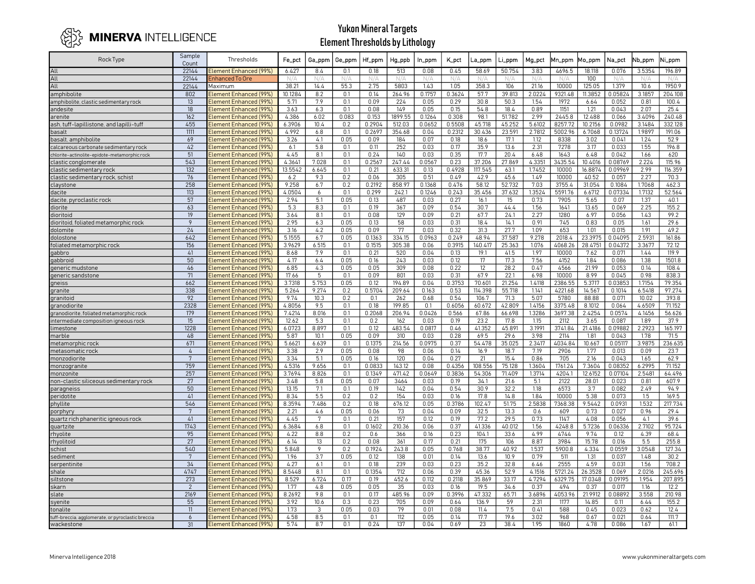

| Rock Type                                        | Sample<br>Count  | Thresholds                                       | Fe_pct        | Ga_ppm        | Ge_ppm     | Hf_ppm        | Hg_ppb        | In_ppm        | <b>K_pct</b> | _a_ppm          | Li_ppm         | Mg_pct        | Mn_ppm          | Mo_ppm          | Na_pct            | Nb_ppm          | Ni_ppm          |
|--------------------------------------------------|------------------|--------------------------------------------------|---------------|---------------|------------|---------------|---------------|---------------|--------------|-----------------|----------------|---------------|-----------------|-----------------|-------------------|-----------------|-----------------|
| All                                              | 22144            | Element Enhanced (99%)                           | 6.427         | 8.4           | 0.1        | 0.18          | 513           | 0.08          | 0.45         | 58.69           | 50.754         | 3.83          | 4696.5          | 18.118          | 0.076             | 3.5354          | 196.89          |
| All                                              | 22144            | Enhanced To Ore                                  | N/A           | N/A           | N/A        | N/A           | N/A           | N/A           | N/A          | N/A             | N/A            | N/A           | N/A             | 100             | N/A               | N/A             | N/A             |
| All                                              | 22144            | Maximum                                          | 38.21         | 14.4          | 55.3       | 2.75          | 5803          | 1.43          | 1.05         | 358.3           | 106            | 21.16         | 10000           | 125.05          | 1.379             | 10.6            | 1950.9          |
| amphibolite                                      | 802              | Element Enhanced (99%)                           | 10.1284       | 8.2           | 0.1        | 0.14          | 264.96        | 0.1757        | 0.3624       | 57.7            | 39.813         | 2.0224        | 9321.48         | 11.3852         | 0.05824           | 3.1857          | 204.108         |
| amphibolite, clastic sedimentary rock            | 13               | Element Enhanced (99%)                           | 5.71          | 7.9           | 0.1        | 0.09          | 224           | 0.05          | 0.29         | 30.8            | 50.3           | 1.54          | 1972            | 6.64            | 0.052             | 0.81            | 100.4           |
| andesite                                         | 18               | Element Enhanced (99%)                           | 3.63          | 6.3           | 0.1        | 0.08          | 149           | 0.05          | 0.15         | 54.8            | 18.4           | 0.89          | 1151            | 1.21            | 0.043             | 2.07            | 25.4            |
| arenite                                          | $\overline{162}$ | Element Enhanced (99%)                           | 4.386         | 6.02          | 0.083      | 0.153         | 1899.55       | 0.1264        | 0.308        | 98.1            | 51.782         | 2.99          | 2445.8          | 12.488          | 0.066             | 3.4096          | 240.48          |
| ash, tuff-lapillistone, and lapilli-tuff         | 455              | Element Enhanced (99%)                           | 6.3906        | 10.4          | 0.2        | 0.2904        | 512.03        | 0.0652        | 0.5508       | 45.718          | 45.252         | 5.6102        | 8257.72         | 10.2156         | 0.0982            | 3.1484          | 332.128         |
| basalt                                           | 1111             | Element Enhanced (99%)                           | 4.992         | 6.8           | 0.1        | 0.2697        | 354.68        | 0.04          | 0.2312       | 30.436          | 23.591         | 2.7812        | 5002.96         | 6.7068          | 0.13724           | 1.9897          | 191.06          |
| basalt, amphibolite                              | 69               | Element Enhanced (99%)                           | 3.26          | 4.1           | 0.05       | 0.09          | 184           | 0.07          | 0.18         | 18.6            | 17.1           | 1.12          | 8338            | 3.02            | 0.041             | 1.24            | 52.9            |
| calcareous carbonate sedimentary rock            | 42               | Element Enhanced (99%)                           | 6.1           | 5.8           | 0.1        | 0.11          | 252           | 0.03          | 0.17         | 35.9            | 13.6           | 2.31          | 7278            | 3.17            | 0.033             | 1.55            | 196.8           |
| chlorite-actinolite-epidote-metamorphic rock     | 51               | Element Enhanced (99%)                           | 4.45          | 8.1           | 0.1        | 0.24          | 140           | 0.03          | 0.35         | 17.7            | 20.4           | 6.48          | 1643            | 6.48            | 0.042             | 1.66            | 620             |
| clastic conglomerate                             | 543              | Element Enhanced (99%)                           | 4.3641        | 7.028         | 0.1        | 0.2567        | 247.44        | 0.0567        | 0.23         | 37.206          | 27.869         | 4.3351        | 3435.54         | 10.4016         | 0.08769           | 2.224           | 115.96          |
| clastic sedimentary rock                         | 132              | Element Enhanced (99%)                           | 13.5542       | 6.645         | 0.1        | 0.21          | 633.31        | 0.13          | 0.4928       | 117.545         | 63.1           | 1.7452        | 10000           | 16.8874         | 0.09969           | 2.99            | 116.359         |
| clastic sedimentary rock, schist                 | 76               | Element Enhanced (99%)                           | 6.2           | 9.3           | 0.2        | 0.06          | 305           | 0.51          | 0.49         | 42.9            | 45.6           | 1.49          | 10000           | 40.52           | 0.057             | 2.27            | 70.3            |
| claystone                                        | 258              | Element Enhanced (99%)                           | 9.258         | 6.7           | 0.2        | 0.2192        | 858.97        | 0.1368        | 0.476        | 58.12           | 52.732         | 7.03          | 3755.4          | 31.054          | 0.1084            | 1.7068          | 462.3           |
| dacite                                           | 113              | Element Enhanced (99%)                           | 4.0504        | 6             | 0.1        | 0.299         | 242.1         | 0.1246        | 0.243        | 35.456          | 37.632         | 1.3524        | 5591.76         | 6.6712          | 0.07334           | 1.7132          | 52.564          |
| dacite, pyroclastic rock                         | 57               | Element Enhanced (99%)                           | 2.94          | 5.1           | 0.05       | 0.13          | 487           | 0.03          | 0.27         | 16.1            | 15             | 0.73          | 7905            | 5.65            | 0.07              | 1.37            | 40.1            |
| diorite                                          | 63               | Element Enhanced (99%)                           | 5.3           | 8.3           | 0.1        | 0.19          | 367           | 0.09          | 0.54         | 30.7            | 44.4           | 1.56          | 1641            | 13.65           | 0.069             | 2.25            | 155.2           |
| dioritoid                                        | 19               | Element Enhanced (99%)                           | 3.64          | 8.1           | 0.1        | 0.08          | 129           | 0.09          | 0.21         | 67.7            | 24.1           | 2.27          | 1280            | 6.97            | 0.056             | 1.43            | 99.2            |
| dioritoid, foliated metamorphic rock             | 9                | Element Enhanced (99%)                           | 2.95          | 6.3           | 0.05       | 0.13          | 58            | 0.03          | 0.31         | 18.4            | 14.1           | 0.91          | 745             | 0.83            | 0.05              | 1.61            | 29.6            |
| dolomite                                         | 24               | Element Enhanced (99%)                           | 3.16          | 4.2           | 0.05       | 0.09          | 77            | 0.03          | 0.32         | 31.3            | 27.7           | 1.09          | 653             | 1.01            | 0.015             | 1.91            | 49.2            |
| dolostone                                        | 642              | Element Enhanced (99%)                           | 5.1555        | 6.7           | 0.05       | 0.1363        | 334.15        | 0.0963        | 0.249        | 48.94           | 37.587         | 9.278         | 2018.4          | 23.3975         | 0.04095           | 2.5931          | 161.86          |
| foliated metamorphic rock                        | 156              | Element Enhanced (99%)                           | 3.9629        | 6.515         | 0.1        | 0.1515        | 305.38        | 0.06          | 0.3915       | 140.417         | 25.363         | 1.076         | 4068.26         | 28.4751         | 0.04372           | 3.3677          | 72.12           |
| gabbro                                           | 41               | Element Enhanced (99%)                           | 8.68          | 7.9           | 0.1        | 0.21          | 520           | 0.04          | 0.13         | 19.1            | 41.5           | 1.97          | 10000           | 7.62            | 0.071             | 1.44            | 119.9           |
| gabbroid                                         | 50               | Element Enhanced (99%)                           | 4.17          | 6.4           | 0.05       | 0.16          | 243           | 0.03          | 0.12         | 17              | 17.3           | 7.56          | 4152            | 1.84            | 0.086             | 1.38            | 1501.8          |
| generic mudstone                                 | 46               | Element Enhanced (99%)                           | 6.85          | 4.3           | 0.05       | 0.05          | 309           | 0.08          | 0.22         | 12              | 28.2           | 0.47          | 4566            | 21.99           | 0.053             | 0.14            | 108.4           |
| generic sandstone                                | 71               | Element Enhanced (99%)                           | 17.66         | 5             | 0.1        | 0.09          | 801           | 0.03          | 0.31         | 67.9            | 22.1           | 6.98          | 10000           | 8.99            | 0.045             | 0.98            | 838.3           |
| gneiss                                           | 662              | Element Enhanced (99%)                           | 3.7318        | 5.753         | 0.05       | 0.12          | 194.89        | 0.04          | 0.3753       | 70.601          | 21.254         | 1.4118        | 2386.55         | 5.3717          | 0.03853<br>0.1014 | 1.7154          | 79.354          |
| granite                                          | 338<br>92        | Element Enhanced (99%)<br>Element Enhanced (99%) | 5.264<br>9.74 | 9.274<br>10.3 | 0.2<br>0.2 | 0.5704<br>0.1 | 209.64<br>262 | 0.163<br>0.68 | 0.53<br>0.54 | 114.398         | 55.718<br>71.3 | 1.141<br>5.07 | 4221.68         | 14.567          | 0.071             | 6.5418<br>10.02 | 97.274<br>393.8 |
| granitoic<br>granodiorite                        | 2328             | <b>Element Enhanced (99%)</b>                    | 4.8056        | 9.5           | 0.1        | 0.18          | 199.85        | 0.1           | 0.6056       | 106.7<br>60.672 | 42.809         | 1.4156        | 5780<br>3375.48 | 88.88<br>8.1012 | 0.064             | 4.6509          | 71.152          |
| granodiorite, foliated metamorphic rock          | 179              | Element Enhanced (99%)                           | 7.4214        | 8.016         | 0.1        | 0.2068        | 206.94        | 0.0426        | 0.566        | 67.86           | 66.698         | 1.3286        | 3697.38         | 2.4254          | 0.0574            | 4.1456          | 56.626          |
| ntermediate composition igneous rock             | 15               | Element Enhanced (99%)                           | 12.62         | 5.3           | 0.1        | 0.2           | 162           | 0.03          | 0.19         | 23.2            | 17.8           | 1.15          | 2112            | 3.65            | 0.087             | 1.89            | 37.9            |
| imestone                                         | 1228             | Element Enhanced (99%)                           | 6.0723        | 8.897         | 0.1        | 0.12          | 483.54        | 0.0817        | 0.46         | 41.352          | 45.891         | 3.1991        | 3741.84         | 21.4186         | 0.09882           | 2.2923          | 165.197         |
| marble                                           | 48               | Element Enhanced (99%)                           | 5.87          | 10.1          | 0.05       | 0.09          | 310           | 0.03          | 0.28         | 69.5            | 29.6           | 3.98          | 2114            | 1.81            | 0.043             | 1.78            | 71.5            |
| metamorphic rock                                 | 671              | Element Enhanced (99%)                           | 5.6621        | 6.639         | 0.1        | 0.1375        | 214.56        | 0.0975        | 0.37         | 54.478          | 35.025         | 2.3417        | 4034.84         | 10.667          | 0.05117           | 3.9875          | 236.635         |
| metasomatic rock                                 | $\overline{4}$   | Element Enhanced (99%)                           | 3.38          | 2.9           | 0.05       | 0.08          | 98            | 0.06          | 0.14         | 16.9            | 18.7           | 7.19          | 2906            | 1.77            | 0.013             | 0.09            | 23.7            |
| monzodiorite                                     | 7                | Element Enhanced (99%)                           | 3.34          | 5.1           | 0.05       | 0.16          | 120           | 0.04          | 0.27         | 21              | 15.4           | 0.86          | 705             | 2.16            | 0.043             | 1.65            | 62.9            |
| monzogranite                                     | 759              | Element Enhanced (99%)                           | 4.5316        | 9.656         | 0.1        | 0.0833        | 143.12        | 0.08          | 0.4356       | 108.556         | 75.128         | 1.3604        | 1761.24         | 7.3604          | 0.08352           | 6.2995          | 71.152          |
| monzonite                                        | 257              | Element Enhanced (99%)                           | 3.7694        | 8.826         | 0.1        | 0.1349        | 471.42        | 0.0649        | 0.3836       | 54.306          | 71.409         | 1.3714        | 4204.1          | 12.6152         | 0.07104           | 2.5481          | 64.496          |
| non-clastic siliceous sedimentary rock           | 27               | Element Enhanced (99%)                           | 3.48          | 5.8           | 0.05       | 0.07          | 3464          | 0.03          | 0.19         | 34.1            | 21.6           | 5.1           | 2122            | 28.01           | 0.023             | 0.81            | 607.9           |
| paragneiss                                       | 50               | Element Enhanced (99%)                           | 13.15         | 7.1           | 0.1        | 0.19          | 142           | 0.04          | 0.54         | 30.9            | 32.2           | 1.18          | 6573            | 3.7             | 0.082             | 2.49            | 94.9            |
| peridotite                                       | 41               | Element Enhanced (99%)                           | 8.34          | 5.5           | 0.2        | 0.2           | 154           | 0.03          | 0.16         | 17.8            | 14.8           | 1.84          | 10000           | 5.38            | 0.073             | 1.5             | 169.5           |
| phyllite                                         | 546              | Element Enhanced (99%)                           | 8.3594        | 7.486         | 0.2        | 0.18          | 676.12        | 0.05          | 0.3786       | 102.47          | 51.75          | 2.5838        | 7368.38         | 9.5442          | 0.0931            | 1.532           | 217.734         |
| porphyry                                         | $\overline{7}$   | Element Enhanced (99%)                           | 2.21          | 4.6           | 0.05       | 0.06          | 73            | 0.04          | 0.09         | 32.5            | 13.3           | 0.6           | 609             | 0.73            | 0.027             | 0.96            | 29.4            |
| quartz rich phaneritic igneous rock              | 41               | Element Enhanced (99%)                           | 4.45          | 7             | 0.1        | 0.21          | 157           | 0.12          | 0.19         | 77.2            | 29.5           | 0.73          | 1147            | 4.08            | 0.056             | 4.1             | 39.6            |
| quartzite                                        | 1743             | Element Enhanced (99%)                           | 6.3684        | 6.8           | 0.1        | 0.1602        | 210.36        | 0.06          | 0.37         | 41.336          | 40.012         | 1.56          | 4248.8          | 5.7236          | 0.06336           | 2.7102          | 95.724          |
| rhyolite                                         | 95               | Element Enhanced (99%)                           | 4.22          | 8.8           | 0.2        | 0.6           | 366           | 0.16          | 0.23         | 104.1           | 33.6           | 4.99          | 4744            | 9.74            | 0.12              | 4.39            | 68.4            |
| rhyolitoid                                       | 27               | Element Enhanced (99%)                           | 6.14          | 13            | 0.2        | 0.08          | 361           | 0.17          | 0.21         | 175             | 106            | 8.87          | 3984            | 15.78           | 0.016             | 5.5             | 255.8           |
| schist                                           | 540              | Element Enhanced (99%)                           | 5.848         | 9             | 0.2        | 0.1924        | 243.8         | 0.05          | 0.768        | 38.77           | 40.92          | 1.537         | 5900.8          | 4.334           | 0.0559            | 3.0548          | 127.34          |
| sediment                                         | 7                | Element Enhanced (99%)                           | 1.96          | 3.7           | 0.05       | 0.12          | 138           | 0.01          | 0.14         | 13.6            | 10.9           | 0.79          | 511             | 1.31            | 0.037             | 1.48            | 30.2            |
| serpentinite                                     | 34               | Element Enhanced (99%)                           | 4.27          | 6.1           | 0.1        | 0.18          | 239           | 0.03          | 0.23         | 35.2            | 32.8           | 6.46          | 2555            | 4.59            | 0.031             | 1.56            | 708.2           |
| shale                                            | 4747             | Element Enhanced (99%)                           | 8.5448        | 8.1           | 0.1        | 0.1354        | 712           | 0.06          | 0.39         | 45.36           | 52.9           | 4.1516        | 5721.24         | 26.3528         | 0.069             | 2.0216          | 245.696         |
| siltstone                                        | 273              | Element Enhanced (99%)                           | 8.529         | 6.724         | 0.17       | 0.19          | 452.6         | 0.112         | 0.2118       | 35.869          | 33.17          | 4.7294        | 6329.75         | 17.0348         | 0.09195           | 1.954           | 207.895         |
| skarn                                            | $\mathcal{P}$    | Element Enhanced (99%)                           | 1.77          | 4.8           | 0.05       | 0.05          | 35            | 0.03          | 0.16         | 19.5            | 34.6           | 0.37          | 494             | 0.37            | 0.017             | 1.16            | 12.2            |
| slate                                            | 2169             | Element Enhanced (99%)                           | 8.2692        | 9.8           | 0.1        | 0.17          | 485.96        | 0.09          | 0.3996       | 47.332          | 65.71          | 3.6896        | 4053.96         | 21.9912         | 0.08892           | 3.558           | 210.98          |
| syenite                                          | 55               | Element Enhanced (99%)                           | 3.92          | 10.6          | 0.3        | 0.23          | 705           | 0.09          | 0.64         | 136.9           | 59             | 2.31          | 1177            | 14.85           | 0.11              | 6.44            | 155.2           |
| tonalite                                         | 11               | Element Enhanced (99%)                           | 1.73          | 3             | 0.05       | 0.03          | 79            | 0.01          | 0.08         | 11.4<br>17.7    | 7.5            | 0.41          | 588             | 0.45            | 0.023             | 0.62            | 12.4            |
| uff-breccia, agglomerate, or pyroclastic breccia | $\overline{6}$   | Element Enhanced (99%)                           | 4.58          | 8.5           | 0.1<br>0.1 | 0.1           | 112           | 0.05<br>0.04  | 0.14         |                 | 19.6           | 3.02          | 968             | 0.67            | 0.021             | 0.64            | 111.7           |
| wackestone                                       | 31               | Element Enhanced (99%)                           | 5.74          | 8.7           |            | 0.24          | 137           |               | 0.69         | 23              | 38.4           | 1.95          | 1860            | 4.78            | 0.086             | 1.67            | 61.1            |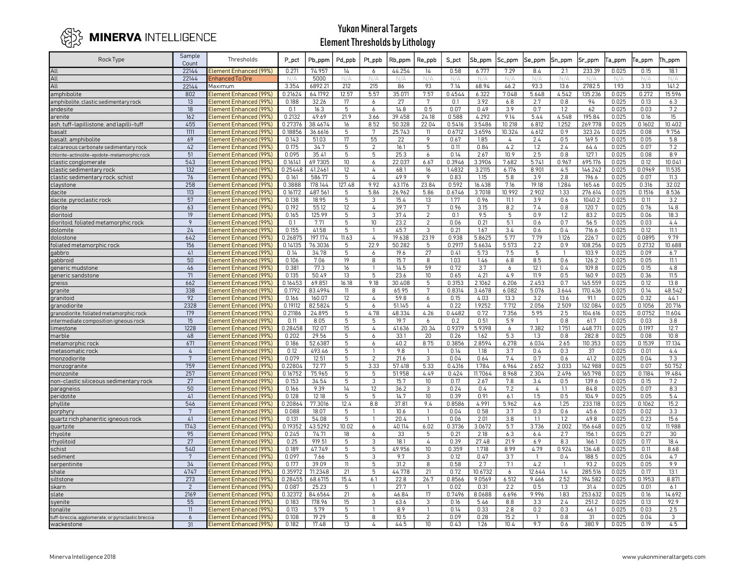

| Rock Type                                         | Sample<br>Count                  | Thresholds                                       | P_pct              | Pb_ppm            | Pd_ppb          | Pt_ppb           | Rb_ppm           | Re_ppb          | S_pct           | Sb_ppm           | Sc_ppm         | Se_ppm         | Sn_ppm         | Sr_ppm             | Ta_ppm         | e_ppm           | Th_ppm           |
|---------------------------------------------------|----------------------------------|--------------------------------------------------|--------------------|-------------------|-----------------|------------------|------------------|-----------------|-----------------|------------------|----------------|----------------|----------------|--------------------|----------------|-----------------|------------------|
| All                                               | 22144                            | Element Enhanced (99%)                           | 0.271              | 74.957            | 14              | 6                | 44.254           | 14              | 0.58            | 6.777            | 7.29           | 8.4            | 2.1            | 233.39             | 0.025          | 0.15            | 18.1             |
| All                                               | 22144                            | Enhanced To Ore                                  | N/A                | 5000              |                 |                  |                  |                 |                 | N/A              | N/A            |                | N/A            | N/A                |                |                 |                  |
| All                                               | 22144                            | Maximum                                          | 3.354              | 6892.21           | 212             | 215              | 86               | 93              | 7.14            | 68.94            | 46.2           | 93.3           | 13.6           | 2782.5             | 1.93           | 3.13            | 141.2            |
| amphibolite                                       | 802                              | Element Enhanced (99%)                           | 0.21624            | 64.1792           | 12.57           | 5.57             | 35.07            | 7.57            | 0.4544          | 6.322            | 7.048          | 5.648          | 4.542          | 135.236            | 0.025          | 0.272           | 15.596           |
| amphibolite, clastic sedimentary rock             | 13                               | Element Enhanced (99%)                           | 0.188              | 32.26             | 17              | 6                | 27               | 7               | 0.1             | 3.92             | 6.8            | 2.7            | 0.8            | 94                 | 0.025          | 0.13            | 6.3              |
| andesite                                          | 18                               | Element Enhanced (99%)                           | 0.1                | 16.3              | 5               | 6                | 14.8             | 0.5             | 0.07            | 0.49             | 3.9            | 0.7            | 1.2            | 62                 | 0.025          | 0.03            | 7.2              |
| arenite                                           | 162                              | Element Enhanced (99%)                           | 0.2132             | 49.69             | 21.9            | 3.66             | 39.458           | 24.18           | 0.588           | 4.292            | 9.14           | 5.44           | 4.548          | 195.84             | 0.025          | 0.16            | 15               |
| ash, tuff-lapillistone, and lapilli-tuff          | 455                              | Element Enhanced (99%)                           | 0.27376            | 38.4674           | 16              | 8.52             | 50.328           | 22.04           | 0.5416          | 3.5486           | 10.218         | 6.812          | 1.252          | 269.778            | 0.025          | 0.1602          | 10.402           |
| basalt                                            | 1111                             | Element Enhanced (99%)                           | 0.18856            | 36.6616           | 5               | 7                | 25.743           | 11              | 0.6712          | 3.6596           | 10.324         | 4.612          | 0.9            | 323.24             | 0.025          | 0.08            | 9.756            |
| basalt, amphibolite                               | 69                               | Element Enhanced (99%                            | 0.143              | 51.03             | 17              | 55               | 22               | 9               | 0.67            | 1.85             | 4              | 2.4            | 0.5            | 169.5              | 0.025          | 0.05            | 5.8              |
| calcareous carbonate sedimentary rock             | 42                               | Element Enhanced (99%)                           | 0.175              | 34.7              | 5               | $\overline{2}$   | 16.1             | 5               | 0.11            | 0.84             | 4.2            | 1.2            | 2.4            | 64.4               | 0.025          | 0.07            | 7.2              |
| chlorite-actinolite-epidote-metamorphic rock      | 51                               | Element Enhanced (99%)                           | 0.095              | 35.41             | 5               | 5                | 25.3             | 6               | 0.14            | 2.67             | 10.9           | 2.5            | 0.8            | 127.1              | 0.025          | 0.08            | 8.9              |
| clastic conglomerate                              | 543                              | Element Enhanced (99%)                           | 0.16141            | 69.7305           | 10              | 6                | 22.037           | 6.67            | 0.3946          | 3.3906           | 7.682          | 5.741          | 0.967          | 695.176            | 0.025          | 0.12            | 10.041           |
| clastic sedimentary rock                          | 132                              | Element Enhanced (99%)                           | 0.25448            | 41.2461           | 12<br>5         | $\overline{4}$   | 68.1             | 16<br>9         | 1.4832          | 3.2115           | 6.176          | 8.901          | 4.5            | 146.242            | 0.025          | 0.0969          | 11.535           |
| clastic sedimentary rock, schist                  | 76<br>258                        | Element Enhanced (99%                            | 0.161              | 586.77<br>178.144 | 127.48          | 4<br>9.92        | 49.9<br>43.176   | 23.84           | 0.83            | 1.15<br>16.438   | 5.8<br>7.16    | 3.9<br>19.18   | 2.8<br>1.284   | 196.6              | 0.025<br>0.025 | 0.07            | 11.3<br>32.02    |
| claystone                                         | 113                              | Element Enhanced (99%)<br>Element Enhanced (99%) | 0.3888<br>0.16172  | 487.561           | 5               | 5.86             | 26.962           | 5.86            | 0.592<br>0.6746 | 3.7018           | 10.992         | 2.902          | 1.33           | 165.46<br>276.614  | 0.025          | 0.316<br>0.1516 | 8.536            |
| dacite<br>dacite, pyroclastic rock                | 57                               | Element Enhanced (99%                            | 0.138              | 18.95             | 5               | 3                | 15.4             | 13              | 1.77            | 0.96             | 11.1           | 3.9            | 0.6            | 1040.2             | 0.025          | 0.11            | 3.2              |
| diorite                                           | 63                               | Element Enhanced (99%)                           | 0.192              | 55.12             | 12              | $\overline{4}$   | 39.7             | 7               | 0.96            | 3.15             | 8.2            | 7.4            | 0.8            | 120.7              | 0.025          | 0.76            | 14.8             |
| dioritoid                                         | 19                               | Element Enhanced (99%)                           | 0.165              | 125.99            | 5               | 3                | 37.4             | 2               | 0.1             | 9.5              | 5              | 0.9            | 1.2            | 83.2               | 0.025          | 0.06            | 18.3             |
| dioritoid, foliated metamorphic rock              | $\overline{9}$                   | Element Enhanced (99%)                           | 0.1                | 7.71              | $\overline{5}$  | 10               | 23.2             | $\overline{2}$  | 0.06            | 0.21             | 5.1            | 0.6            | 0.7            | 56.5               | 0.025          | 0.03            | 4.4              |
| dolomite                                          | 24                               | Element Enhanced (99%)                           | 0.155              | 41.58             | 5               |                  | 45.7             | 3               | 0.21            | 1.67             | 3.4            | 0.6            | 0.4            | 716.6              | 0.025          | 0.12            | 11.1             |
| dolostone                                         | 642                              | Element Enhanced (99%)                           | 0.26875            | 197.174           | 11.63           | 4                | 19.638           | 23.19           | 0.938           | 5.8625           | 5.77           | 7.79           | 1.126          | 226.7              | 0.025          | 0.0895          | 9.79             |
| foliated metamorphic rock                         | 156                              | Element Enhanced (99%)                           | 0.14135            | 76.3036           | 5               | 22.9             | 50.282           | 5               | 0.2917          | 5.6634           | 5.573          | 2.2            | 0.9            | 108.256            | 0.025          | 0.2732          | 10.688           |
| gabbro                                            | 41                               | Element Enhanced (99%)                           | 0.14               | 34.78             | 5               | 6                | 19.6             | 27              | 0.41            | 5.73             | 7.5            | 5              | $\overline{1}$ | 103.9              | 0.025          | 0.09            | 6.7              |
| gabbroid                                          | 50                               | Element Enhanced (99%                            | 0.106              | 7.06              | 19 <sup>°</sup> | 8                | 15.7             | 8               | 1.03            | 1.46             | 6.8            | 8.5            | 0.6            | 126.2              | 0.025          | 0.05            | 11.1             |
| generic mudstone                                  | 46                               | Element Enhanced (99%)                           | 0.381              | 77.3              | 16              |                  | 14.5             | 59              | 0.72            | 3.7              | 6              | 12.1           | 0.4            | 109.8              | 0.025          | 0.15            | 4.8              |
| generic sandstone                                 | 71                               | Element Enhanced (99%)                           | 0.135              | 50.49             | 13              | 5                | 23.6             | 10              | 0.65            | 4.21             | 4.9            | 11.9           | 0.5            | 160.9              | 0.025          | 0.36            | 11.5             |
| gneiss                                            | 662                              | <b>Element Enhanced (99%</b>                     | 0.16453            | 69.851            | 16.18           | 9.18             | 30.408           | 5               | 0.3153          | 2.1062           | 6.206          | 2.453          | 0.7            | 145.559            | 0.025          | 0.12            | 13.8             |
| granite                                           | 338                              | Element Enhanced (99%)                           | 0.1792             | 83.4994           | 11              | 8                | 65.95            | 7               | 0.8314          | 3.4678           | 6.082          | 5.076          | 3.644          | 170.436            | 0.025          | 0.14            | 48.542           |
| granitoic                                         | 92                               | Element Enhanced (99%)                           | 0.166              | 160.07            | 12              | 4                | 59.8             | 6               | 0.15            | 4.03             | 13.3           | 3.2            | 13.6           | 91.1               | 0.025          | 0.32            | 44.1             |
| granodiorite                                      | 2328                             | Element Enhanced (99%)                           | 0.19112            | 82.5824           | 5               | 6                | 51.145           | 4               | 0.22            | 1.9252           | 7.712          | 2.056          | 2.509          | 132.084            | 0.025          | 0.1056          | 20.716           |
| granodiorite, foliated metamorphic rock           | 179                              | Element Enhanced (99%)                           | 0.21186            | 24.895            | 5               | 4.78             | 48.334           | 4.26            | 0.4482          | 0.72             | 7.356          | 5.95           | 2.5            | 104.616            | 0.025          | 0.0752          | 11.604           |
| intermediate composition igneous rock             | 15                               | Element Enhanced (99%)                           | 0.11               | 8.05              | 5               | 5                | 19.7             | 6               | 0.2             | 0.51             | 5.9            | $\overline{1}$ | 0.8            | 61.7               | 0.025          | 0.03            | 3.8              |
| imestone                                          | 1228                             | Element Enhanced (99%)                           | 0.28458            | 112.07            | 15              | $\overline{4}$   | 41.636           | 20.34           | 0.9379          | 5.9398           | 6              | 7.382          | 1.751          | 448.771            | 0.025          | 0.1197          | 12.7             |
| marble                                            | 48                               | Element Enhanced (99%)                           | 0.202              | 29.56             | 5               | 6                | 33.1             | 20              | 0.26            | 1.62             | 5.3            | 1.3            | 0.8            | 282.8              | 0.025          | 0.08            | 10.8             |
| metamorphic rock                                  | 671                              | Element Enhanced (99%)                           | 0.186              | 52.6387           | 5               | 6                | 40.2             | 8.75            | 0.3856          | 2.8594           | 6.278          | 6.034          | 2.65           | 110.353            | 0.025          | 0.1539          | 17.134           |
| metasomatic rock                                  | $\overline{4}$<br>$\overline{7}$ | Element Enhanced (99%)                           | 0.12               | 493.46            | 5               |                  | 9.8              | $\mathbf{1}$    | 0.14            | 1.18             | 3.7            | 0.4            | 0.3            | 37                 | 0.025          | 0.01            | 4.4              |
| monzodiorite                                      | 759                              | Element Enhanced (99%)                           | 0.079              | 12.51             | 5               | 2<br>3.33        | 21.6             | 3               | 0.04            | 0.64             | 7.4            | 0.7            | 0.6            | 41.2               | 0.025          | 0.04            | 7.3              |
| monzogranite<br>monzonite                         | 257                              | Element Enhanced (99%<br>Element Enhanced (99%)  | 0.22804<br>0.16752 | 72.77<br>75.965   | 5<br>5          | 5                | 57.418<br>51.958 | 5.33<br>4.49    | 0.4316<br>0.424 | 1.784<br>11.7064 | 6.964<br>8.968 | 2.652<br>2.304 | 3.033<br>2.496 | 142.988<br>165.798 | 0.025<br>0.025 | 0.07<br>0.1184  | 50.752<br>19.484 |
| non-clastic siliceous sedimentary rock            | 27                               | Element Enhanced (99%)                           | 0.153              | 34.54             | 5               | 3                | 15.7             | 10 <sup>°</sup> | 0.17            | 2.67             | 7.8            | 3.4            | 0.5            | 139.6              | 0.025          | 0.15            | 7.2              |
| paragneiss                                        | 50                               | Element Enhanced (99%)                           | 0.166              | 9.39              | 14              | 12               | 36.2             | 3               | 0.24            | 0.4              | 7.2            | 4              | 1.1            | 84.8               | 0.025          | 0.07            | 8.3              |
| peridotite                                        | 41                               | Element Enhanced (99%)                           | 0.128              | 12.18             | 5               | 5                | 14.7             | 10              | 0.39            | 0.91             | 6.1            | 1.5            | 0.5            | 104.9              | 0.025          | 0.05            | 5.4              |
| phyllite                                          | 546                              | Element Enhanced (99%)                           | 0.20864            | 77.3016           | 12.4            | 8.8              | 37.81            | 9.4             | 0.8586          | 4.991            | 5.962          | 4.6            | 1.25           | 233.118            | 0.025          | 0.1062          | 15.2             |
| porphyry                                          | 7                                | Element Enhanced (99%)                           | 0.088              | 18.07             | 5               |                  | 10.6             |                 | 0.04            | 0.58             | 3.7            | 0.3            | 0.6            | 45.6               | 0.025          | 0.02            | 3.3              |
| quartz rich phaneritic igneous rock               | 41                               | Element Enhanced (99%)                           | 0.131              | 54.08             | 5               |                  | 20.4             | 1               | 0.06            | 2.01             | 3.8            | 1.1            | 1.2            | 49.8               | 0.025          | 0.23            | 15.6             |
| quartzite                                         | 1743                             | Element Enhanced (99%)                           | 0.19352            | 43.5292           | 10.02           | 6                | 40.114           | 6.02            | 0.3736          | 3.0672           | 5.7            | 3.736          | 2.002          | 156.648            | 0.025          | 0.12            | 11.988           |
| rhyolite                                          | 95                               | Element Enhanced (99%)                           | 0.245              | 74.71             | 18              | 6                | 33               | 5               | 0.21            | 2.18             | 6.3            | 6.4            | 2.7            | 156.1              | 0.025          | 0.27            | 30               |
| rhyolitoid                                        | 27                               | Element Enhanced (99%)                           | 0.25               | 919.51            | 5               | 3                | 18.1             | 4               | 0.39            | 27.48            | 21.9           | 6.9            | 8.3            | 166.1              | 0.025          | 0.17            | 18.4             |
| schist                                            | 540                              | <b>Element Enhanced (99%</b>                     | 0.189              | 47.749            | 5               | 5                | 49.956           | 10              | 0.359           | 1.718            | 8.99           | 4.79           | 0.924          | 136.48             | 0.025          | 0.11            | 8.68             |
| sediment                                          | 7                                | Element Enhanced (99%)                           | 0.097              | 7.66              | 5               | 3                | 9.7              | 3               | 0.12            | 0.47             | 3.7            | $\mathbf{1}$   | 0.4            | 188.5              | 0.025          | 0.04            | 4.7              |
| serpentinite                                      | 34                               | Element Enhanced (99%)                           | 0.177              | 39.09             | 11              | $5\overline{5}$  | 31.2             | 8               | 0.58            | 2.7              | 7.1            | 4.2            | -1             | 93.2               | 0.025          | 0.05            | 9.9              |
| shale                                             | 4747                             | Element Enhanced (99%)                           | 0.35972            | 71.2348           | 21              | 5                | 44.778           | 21              | 0.72            | 10.6732          | 6              | 12.644         | 1.4            | 285.516            | 0.025          | 0.17            | 13.1             |
| siltstone                                         | 273                              | Element Enhanced (99%)                           | 0.28455            | 68.6715           | 15.4            | 6.1              | 22.8             | 26.7            | 0.8566          | 9.0569           | 6.512          | 9.466          | 2.52           | 194.582            | 0.025          | 0.1953          | 8.871            |
| skarn                                             | $\overline{2}$                   | Element Enhanced (99%)                           | 0.087              | 25.23             | 5               | $\overline{1}$   | 27.7             | $\overline{1}$  | 0.02            | 0.31             | 2.2            | 0.5            | 1.3            | 31.4               | 0.025          | 0.01            | 6.1              |
| slate                                             | 2169                             | Element Enhanced (99%)                           | 0.32372            | 84.6564           | $\overline{21}$ | $\boldsymbol{6}$ | 46.84            | 17              | 0.7496          | 8.0688           | 6.696          | 9.996          | 1.83           | 253.632            | 0.025          | 0.16            | 14.692           |
| svenite                                           | 55                               | Element Enhanced (99%)                           | 0.183              | 178.96            | 15              | $_{\rm 3}$       | 63.6             | 3               | 0.16            | 5.46             | 8.8            | 3.3            | 2.4            | 251.2              | 0.025          | 0.13            | 92.9             |
| tonalite                                          | 11                               | Element Enhanced (99%)                           | 0.113              | 5.79              | 5               | $\mathbf{1}$     | 8.9              | 1               | 0.14            | 0.33             | 2.8            | 0.2            | 0.3            | 46.1               | 0.025          | 0.03            | 2.5              |
| tuff-breccia, agglomerate, or pyroclastic breccia | 6                                | Element Enhanced (99%)                           | 0.108              | 19.29             | 5 <sup>5</sup>  | 8                | 10.5             | $\overline{2}$  | 0.09            | 0.28             | 15.2           | $\mathbf{1}$   | 0.8            | 31                 | 0.025          | 0.04            | 3                |
| wackestone                                        | 31                               | Element Enhanced (99%)                           | 0.182              | 17.48             | 13              | 4                | 44.5             | 10              | 0.43            | 1.26             | 10.4           | 9.7            | 0.6            | 380.9              | 0.025          | 0.19            | 4.5              |